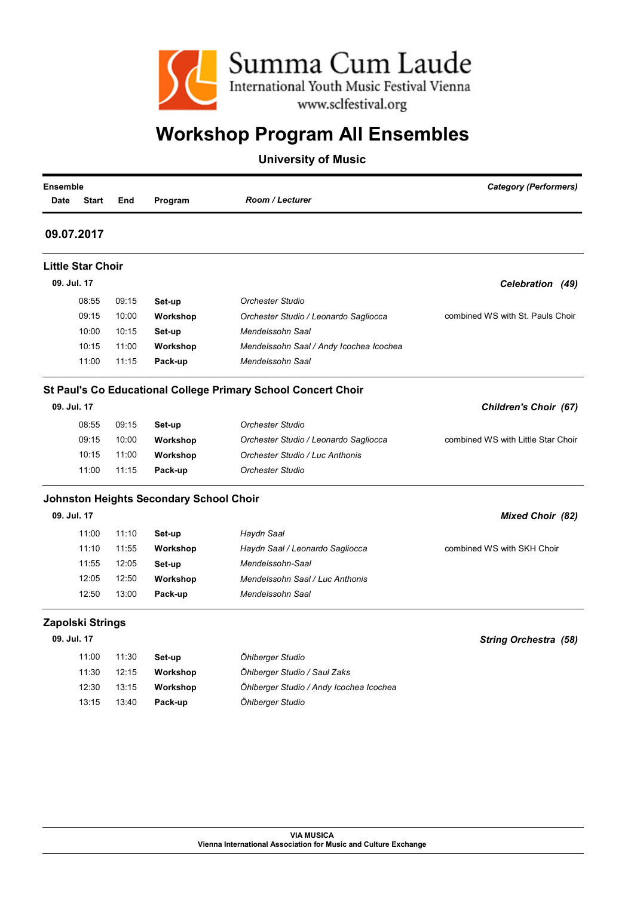

| <b>Ensemble</b><br><b>Start</b><br><b>Date</b> | End   | Program                                        | <b>Room / Lecturer</b>                                        | <b>Category (Performers)</b>       |
|------------------------------------------------|-------|------------------------------------------------|---------------------------------------------------------------|------------------------------------|
| 09.07.2017                                     |       |                                                |                                                               |                                    |
| <b>Little Star Choir</b>                       |       |                                                |                                                               |                                    |
| 09. Jul. 17                                    |       |                                                |                                                               | Celebration (49)                   |
| 08:55                                          | 09:15 | Set-up                                         | <b>Orchester Studio</b>                                       |                                    |
| 09:15                                          | 10:00 | Workshop                                       | Orchester Studio / Leonardo Sagliocca                         | combined WS with St. Pauls Choir   |
| 10:00                                          | 10:15 | Set-up                                         | Mendelssohn Saal                                              |                                    |
| 10:15                                          | 11:00 | Workshop                                       | Mendelssohn Saal / Andy Icochea Icochea                       |                                    |
| 11:00                                          | 11:15 | Pack-up                                        | Mendelssohn Saal                                              |                                    |
|                                                |       |                                                | St Paul's Co Educational College Primary School Concert Choir |                                    |
| 09. Jul. 17                                    |       |                                                |                                                               | Children's Choir (67)              |
| 08:55                                          | 09:15 | Set-up                                         | <b>Orchester Studio</b>                                       |                                    |
| 09:15                                          | 10:00 | Workshop                                       | Orchester Studio / Leonardo Sagliocca                         | combined WS with Little Star Choir |
| 10:15                                          | 11:00 | Workshop                                       | Orchester Studio / Luc Anthonis                               |                                    |
| 11:00                                          | 11:15 | Pack-up                                        | <b>Orchester Studio</b>                                       |                                    |
|                                                |       | <b>Johnston Heights Secondary School Choir</b> |                                                               |                                    |
| 09. Jul. 17                                    |       |                                                |                                                               | <b>Mixed Choir (82)</b>            |
| 11:00                                          | 11:10 | Set-up                                         | Haydn Saal                                                    |                                    |
| 11:10                                          | 11:55 | Workshop                                       | Haydn Saal / Leonardo Sagliocca                               | combined WS with SKH Choir         |
| 11:55                                          | 12:05 | Set-up                                         | Mendelssohn-Saal                                              |                                    |
| 12:05                                          | 12:50 | Workshop                                       | Mendelssohn Saal / Luc Anthonis                               |                                    |
| 12:50                                          | 13:00 | Pack-up                                        | Mendelssohn Saal                                              |                                    |
| Zapolski Strings                               |       |                                                |                                                               |                                    |
| 09. Jul. 17                                    |       |                                                |                                                               | <b>String Orchestra (58)</b>       |
| 11:00                                          | 11:30 | Set-up                                         | Öhlberger Studio                                              |                                    |
| 11:30                                          | 12:15 | Workshop                                       | Öhlberger Studio / Saul Zaks                                  |                                    |
| 12:30                                          | 13:15 | Workshop                                       | Öhlberger Studio / Andy Icochea Icochea                       |                                    |
| 13:15                                          | 13:40 | Pack-up                                        | Öhlberger Studio                                              |                                    |
|                                                |       |                                                |                                                               |                                    |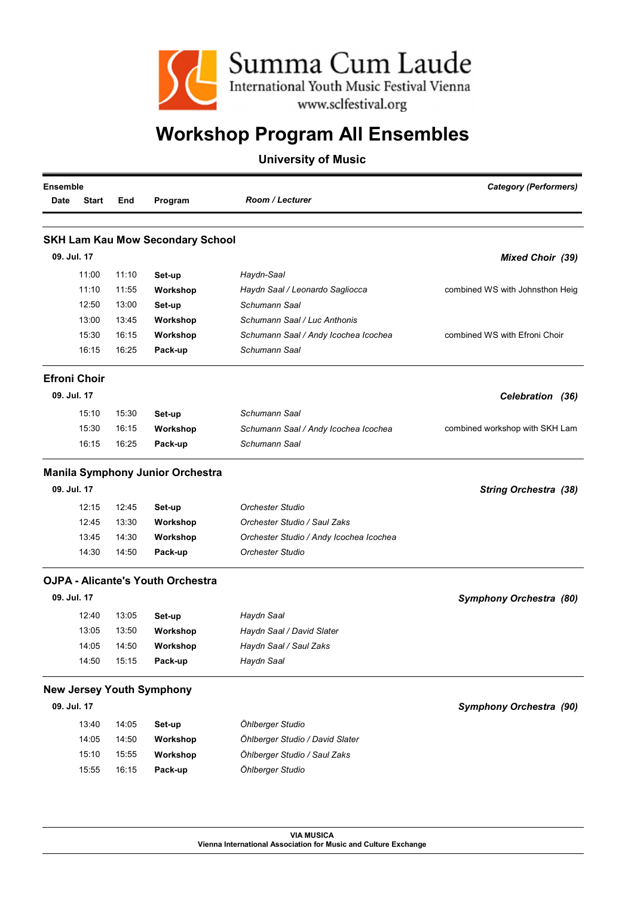

#### University of Music

|             | Ensemble            |       |                                          |                                         | <b>Category (Performers)</b>    |  |
|-------------|---------------------|-------|------------------------------------------|-----------------------------------------|---------------------------------|--|
| Date        | <b>Start</b>        | End   | Program                                  | <b>Room / Lecturer</b>                  |                                 |  |
|             |                     |       |                                          |                                         |                                 |  |
|             |                     |       | <b>SKH Lam Kau Mow Secondary School</b>  |                                         |                                 |  |
| 09. Jul. 17 |                     |       |                                          |                                         | <b>Mixed Choir (39)</b>         |  |
|             | 11:00               | 11:10 | Set-up                                   | Haydn-Saal                              |                                 |  |
|             | 11:10               | 11:55 | Workshop                                 | Haydn Saal / Leonardo Sagliocca         | combined WS with Johnsthon Heig |  |
|             | 12:50               | 13:00 | Set-up                                   | Schumann Saal                           |                                 |  |
|             | 13:00               | 13:45 | Workshop                                 | Schumann Saal / Luc Anthonis            |                                 |  |
|             | 15:30               | 16:15 | Workshop                                 | Schumann Saal / Andy Icochea Icochea    | combined WS with Efroni Choir   |  |
|             | 16:15               | 16:25 | Pack-up                                  | Schumann Saal                           |                                 |  |
|             | <b>Efroni Choir</b> |       |                                          |                                         |                                 |  |
| 09. Jul. 17 |                     |       |                                          |                                         | Celebration (36)                |  |
|             | 15:10               | 15:30 | Set-up                                   | Schumann Saal                           |                                 |  |
|             | 15:30               | 16:15 | Workshop                                 | Schumann Saal / Andy Icochea Icochea    | combined workshop with SKH Lam  |  |
|             | 16:15               | 16:25 | Pack-up                                  | Schumann Saal                           |                                 |  |
|             |                     |       | <b>Manila Symphony Junior Orchestra</b>  |                                         |                                 |  |
| 09. Jul. 17 |                     |       |                                          |                                         | <b>String Orchestra (38)</b>    |  |
|             | 12:15               | 12:45 | Set-up                                   | <b>Orchester Studio</b>                 |                                 |  |
|             | 12:45               | 13:30 | Workshop                                 | Orchester Studio / Saul Zaks            |                                 |  |
|             | 13:45               | 14:30 | Workshop                                 | Orchester Studio / Andy Icochea Icochea |                                 |  |
|             | 14:30               | 14:50 | Pack-up                                  | <b>Orchester Studio</b>                 |                                 |  |
|             |                     |       | <b>OJPA - Alicante's Youth Orchestra</b> |                                         |                                 |  |
| 09. Jul. 17 |                     |       |                                          |                                         | Symphony Orchestra (80)         |  |
|             | 12:40               | 13:05 | Set-up                                   | Haydn Saal                              |                                 |  |
|             | 13:05               | 13:50 | Workshop                                 | Haydn Saal / David Slater               |                                 |  |
|             | 14:05               | 14:50 | Workshop                                 | Haydn Saal / Saul Zaks                  |                                 |  |
|             | 14:50               | 15:15 | Pack-up                                  | Haydn Saal                              |                                 |  |
|             |                     |       | <b>New Jersey Youth Symphony</b>         |                                         |                                 |  |
| 09. Jul. 17 |                     |       |                                          |                                         | <b>Symphony Orchestra (90)</b>  |  |
|             | 13:40               | 14:05 | Set-up                                   | Öhlberger Studio                        |                                 |  |
|             | 14:05               | 14:50 | Workshop                                 | Öhlberger Studio / David Slater         |                                 |  |
|             | 15:10               | 15:55 | Workshop                                 | Öhlberger Studio / Saul Zaks            |                                 |  |
|             | 15:55               | 16:15 | Pack-up                                  | Öhlberger Studio                        |                                 |  |

VIA MUSICA Vienna International Association for Music and Culture Exchange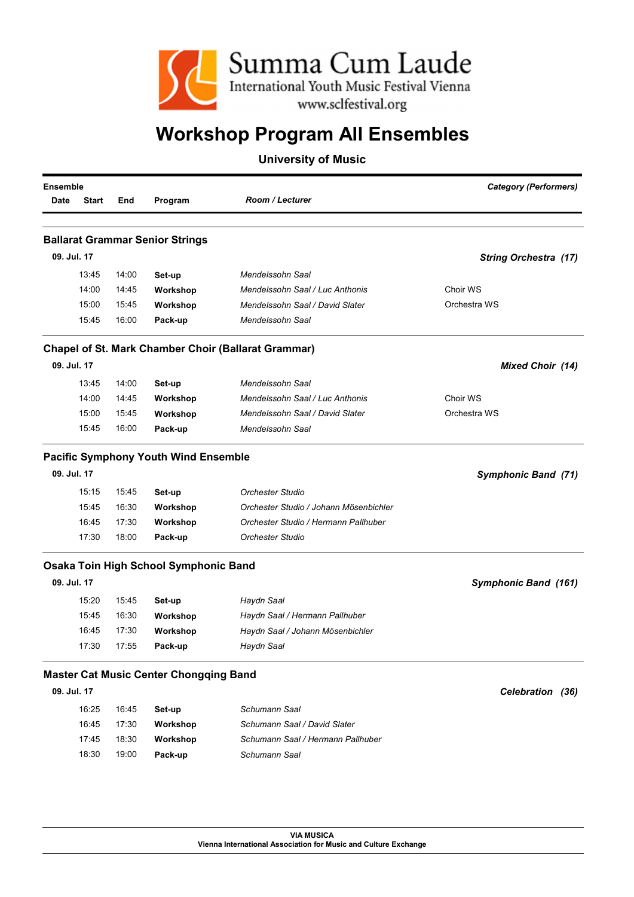

|                                  |                                                                                                                                                                                              |                                                                                                    |                                           | Ensemble                                                                                                                                                                                                                                                                                   |
|----------------------------------|----------------------------------------------------------------------------------------------------------------------------------------------------------------------------------------------|----------------------------------------------------------------------------------------------------|-------------------------------------------|--------------------------------------------------------------------------------------------------------------------------------------------------------------------------------------------------------------------------------------------------------------------------------------------|
| <b>Room / Lecturer</b>           | Program                                                                                                                                                                                      | End                                                                                                | <b>Start</b>                              | Date                                                                                                                                                                                                                                                                                       |
|                                  |                                                                                                                                                                                              |                                                                                                    |                                           |                                                                                                                                                                                                                                                                                            |
|                                  |                                                                                                                                                                                              |                                                                                                    |                                           |                                                                                                                                                                                                                                                                                            |
|                                  |                                                                                                                                                                                              |                                                                                                    |                                           | 09. Jul. 17                                                                                                                                                                                                                                                                                |
| Mendelssohn Saal                 | Set-up                                                                                                                                                                                       | 14:00                                                                                              | 13:45                                     |                                                                                                                                                                                                                                                                                            |
| Mendelssohn Saal / Luc Anthonis  | Workshop                                                                                                                                                                                     | 14:45                                                                                              | 14:00                                     |                                                                                                                                                                                                                                                                                            |
| Mendelssohn Saal / David Slater  | Workshop                                                                                                                                                                                     | 15:45                                                                                              | 15:00                                     |                                                                                                                                                                                                                                                                                            |
| Mendelssohn Saal                 | Pack-up                                                                                                                                                                                      | 16:00                                                                                              | 15:45                                     |                                                                                                                                                                                                                                                                                            |
|                                  |                                                                                                                                                                                              |                                                                                                    |                                           |                                                                                                                                                                                                                                                                                            |
|                                  |                                                                                                                                                                                              |                                                                                                    |                                           | 09. Jul. 17                                                                                                                                                                                                                                                                                |
| Mendelssohn Saal                 | Set-up                                                                                                                                                                                       | 14:00                                                                                              | 13:45                                     |                                                                                                                                                                                                                                                                                            |
| Mendelssohn Saal / Luc Anthonis  | Workshop                                                                                                                                                                                     | 14:45                                                                                              | 14:00                                     |                                                                                                                                                                                                                                                                                            |
| Mendelssohn Saal / David Slater  | Workshop                                                                                                                                                                                     | 15:45                                                                                              | 15:00                                     |                                                                                                                                                                                                                                                                                            |
| Mendelssohn Saal                 | Pack-up                                                                                                                                                                                      | 16:00                                                                                              | 15:45                                     |                                                                                                                                                                                                                                                                                            |
|                                  |                                                                                                                                                                                              |                                                                                                    |                                           |                                                                                                                                                                                                                                                                                            |
|                                  |                                                                                                                                                                                              |                                                                                                    |                                           | 09. Jul. 17                                                                                                                                                                                                                                                                                |
|                                  |                                                                                                                                                                                              |                                                                                                    |                                           |                                                                                                                                                                                                                                                                                            |
|                                  |                                                                                                                                                                                              |                                                                                                    |                                           |                                                                                                                                                                                                                                                                                            |
|                                  |                                                                                                                                                                                              |                                                                                                    |                                           |                                                                                                                                                                                                                                                                                            |
| Orchester Studio                 | Pack-up                                                                                                                                                                                      | 18:00                                                                                              | 17:30                                     |                                                                                                                                                                                                                                                                                            |
|                                  |                                                                                                                                                                                              |                                                                                                    |                                           |                                                                                                                                                                                                                                                                                            |
|                                  |                                                                                                                                                                                              |                                                                                                    |                                           | 09. Jul. 17                                                                                                                                                                                                                                                                                |
|                                  |                                                                                                                                                                                              | 15:45                                                                                              | 15:20                                     |                                                                                                                                                                                                                                                                                            |
| Haydn Saal / Hermann Pallhuber   |                                                                                                                                                                                              | 16:30                                                                                              | 15:45                                     |                                                                                                                                                                                                                                                                                            |
| Haydn Saal / Johann Mösenbichler |                                                                                                                                                                                              | 17:30                                                                                              | 16:45                                     |                                                                                                                                                                                                                                                                                            |
| Haydn Saal                       | Pack-up                                                                                                                                                                                      | 17:55                                                                                              | 17:30                                     |                                                                                                                                                                                                                                                                                            |
|                                  |                                                                                                                                                                                              |                                                                                                    |                                           |                                                                                                                                                                                                                                                                                            |
|                                  |                                                                                                                                                                                              |                                                                                                    |                                           | 09. Jul. 17                                                                                                                                                                                                                                                                                |
| Schumann Saal                    |                                                                                                                                                                                              | 16:45                                                                                              | 16:25                                     |                                                                                                                                                                                                                                                                                            |
|                                  |                                                                                                                                                                                              |                                                                                                    |                                           |                                                                                                                                                                                                                                                                                            |
|                                  |                                                                                                                                                                                              |                                                                                                    |                                           |                                                                                                                                                                                                                                                                                            |
| Schumann Saal                    | Pack-up                                                                                                                                                                                      | 19:00                                                                                              | 18:30                                     |                                                                                                                                                                                                                                                                                            |
|                                  | <b>Orchester Studio</b><br>Orchester Studio / Johann Mösenbichler<br>Orchester Studio / Hermann Pallhuber<br>Haydn Saal<br>Schumann Saal / David Slater<br>Schumann Saal / Hermann Pallhuber | Set-up<br>Workshop<br>Workshop<br>Set-up<br>Workshop<br>Workshop<br>Set-up<br>Workshop<br>Workshop | 15:45<br>16:30<br>17:30<br>17:30<br>18:30 | <b>Ballarat Grammar Senior Strings</b><br><b>Chapel of St. Mark Chamber Choir (Ballarat Grammar)</b><br><b>Pacific Symphony Youth Wind Ensemble</b><br>15:15<br>15:45<br>16:45<br>Osaka Toin High School Symphonic Band<br><b>Master Cat Music Center Chongqing Band</b><br>16:45<br>17:45 |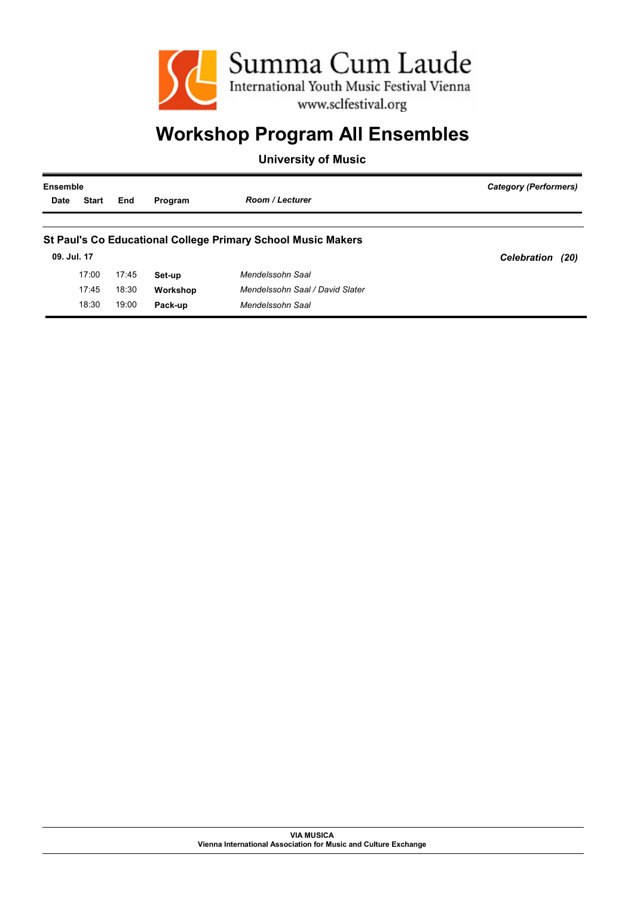

| Ensemble    |              |       |          |                                                                     | Category (Performers)      |  |
|-------------|--------------|-------|----------|---------------------------------------------------------------------|----------------------------|--|
| <b>Date</b> | <b>Start</b> | End   | Program  | <b>Room / Lecturer</b>                                              |                            |  |
|             |              |       |          |                                                                     |                            |  |
|             |              |       |          | <b>St Paul's Co Educational College Primary School Music Makers</b> |                            |  |
| 09. Jul. 17 |              |       |          |                                                                     | <b>Celebration</b><br>(20) |  |
|             | 17:00        | 17:45 | Set-up   | Mendelssohn Saal                                                    |                            |  |
|             | 17:45        | 18:30 | Workshop | Mendelssohn Saal / David Slater                                     |                            |  |
|             | 18:30        | 19:00 | Pack-up  | Mendelssohn Saal                                                    |                            |  |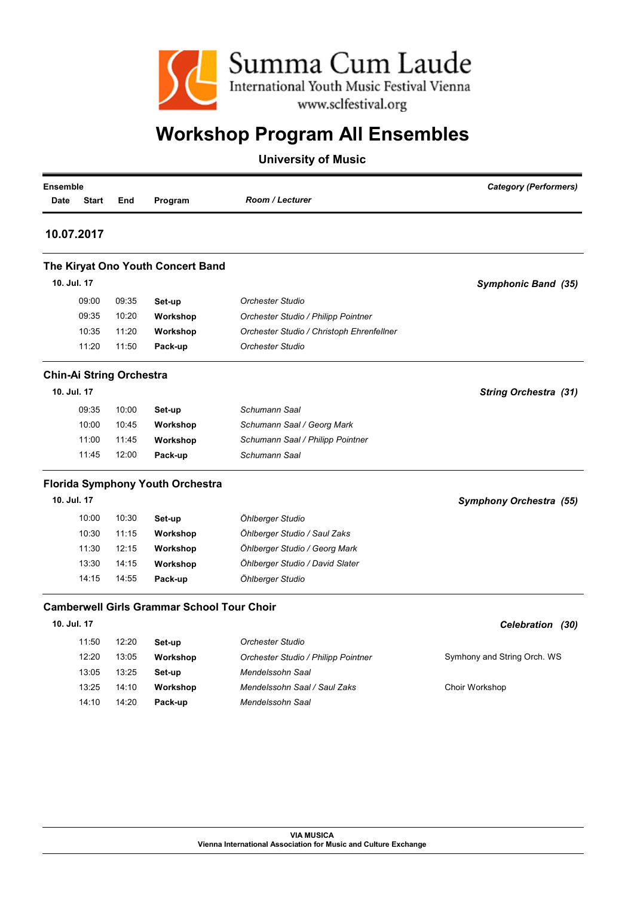

| <b>Ensemble</b><br>Date | <b>Start</b> | End                             | Program                                           | <b>Room / Lecturer</b>                    | <b>Category (Performers)</b>   |
|-------------------------|--------------|---------------------------------|---------------------------------------------------|-------------------------------------------|--------------------------------|
|                         | 10.07.2017   |                                 |                                                   |                                           |                                |
|                         |              |                                 | The Kiryat Ono Youth Concert Band                 |                                           |                                |
| 10. Jul. 17             |              |                                 |                                                   |                                           | Symphonic Band (35)            |
|                         | 09:00        | 09:35                           | Set-up                                            | <b>Orchester Studio</b>                   |                                |
|                         | 09:35        | 10:20                           | Workshop                                          | Orchester Studio / Philipp Pointner       |                                |
|                         | 10:35        | 11:20                           | Workshop                                          | Orchester Studio / Christoph Ehrenfellner |                                |
|                         | 11:20        | 11:50                           | Pack-up                                           | <b>Orchester Studio</b>                   |                                |
|                         |              | <b>Chin-Ai String Orchestra</b> |                                                   |                                           |                                |
| 10. Jul. 17             |              |                                 |                                                   |                                           | <b>String Orchestra (31)</b>   |
|                         | 09:35        | 10:00                           | Set-up                                            | Schumann Saal                             |                                |
|                         | 10:00        | 10:45                           | Workshop                                          | Schumann Saal / Georg Mark                |                                |
|                         | 11:00        | 11:45                           | Workshop                                          | Schumann Saal / Philipp Pointner          |                                |
|                         | 11:45        | 12:00                           | Pack-up                                           | Schumann Saal                             |                                |
|                         |              |                                 | <b>Florida Symphony Youth Orchestra</b>           |                                           |                                |
| 10. Jul. 17             |              |                                 |                                                   |                                           | <b>Symphony Orchestra (55)</b> |
|                         | 10:00        | 10:30                           | Set-up                                            | Öhlberger Studio                          |                                |
|                         | 10:30        | 11:15                           | Workshop                                          | Öhlberger Studio / Saul Zaks              |                                |
|                         | 11:30        | 12:15                           | Workshop                                          | Öhlberger Studio / Georg Mark             |                                |
|                         | 13:30        | 14:15                           | Workshop                                          | Öhlberger Studio / David Slater           |                                |
|                         | 14:15        | 14:55                           | Pack-up                                           | Öhlberger Studio                          |                                |
|                         |              |                                 | <b>Camberwell Girls Grammar School Tour Choir</b> |                                           |                                |
| 10. Jul. 17             |              |                                 |                                                   |                                           | Celebration (30)               |
|                         | 11:50        | 12:20                           | Set-up                                            | <b>Orchester Studio</b>                   |                                |
|                         | 12:20        | 13:05                           | Workshop                                          | Orchester Studio / Philipp Pointner       | Symhony and String Orch. WS    |
|                         | 13:05        | 13:25                           | Set-up                                            | Mendelssohn Saal                          |                                |
|                         | 13:25        | 14:10                           | Workshop                                          | Mendelssohn Saal / Saul Zaks              | Choir Workshop                 |
|                         | 14:10        | 14:20                           | Pack-up                                           | Mendelssohn Saal                          |                                |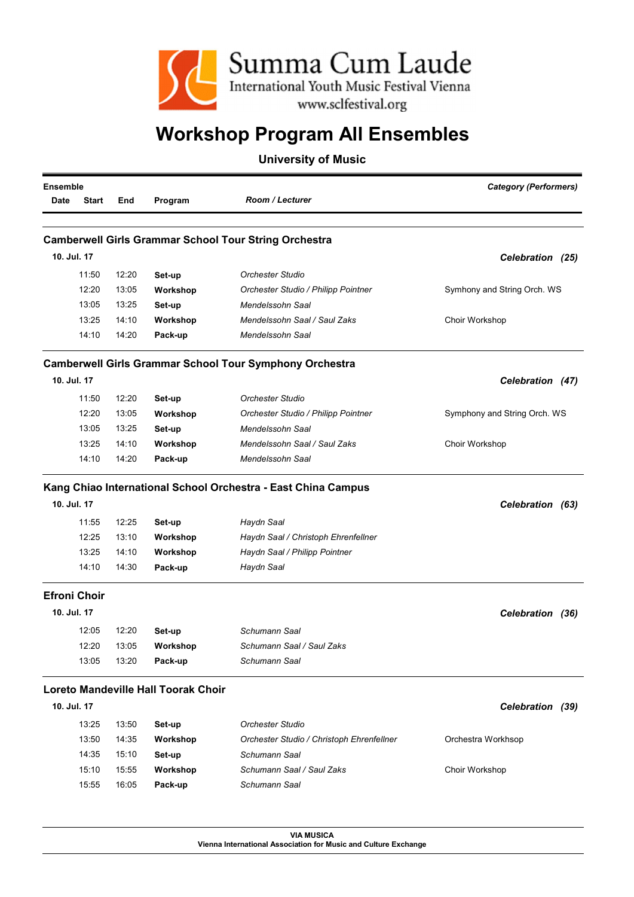

### University of Music

| <b>Ensemble</b> |                     |       |                                     |                                                                | <b>Category (Performers)</b> |
|-----------------|---------------------|-------|-------------------------------------|----------------------------------------------------------------|------------------------------|
| <b>Date</b>     | <b>Start</b>        | End   | Program                             | <b>Room / Lecturer</b>                                         |                              |
|                 |                     |       |                                     |                                                                |                              |
|                 |                     |       |                                     | <b>Camberwell Girls Grammar School Tour String Orchestra</b>   |                              |
| 10. Jul. 17     |                     |       |                                     |                                                                | Celebration (25)             |
|                 | 11:50               | 12:20 | Set-up                              | Orchester Studio                                               |                              |
|                 | 12:20               | 13:05 | Workshop                            | Orchester Studio / Philipp Pointner                            | Symhony and String Orch. WS  |
|                 | 13:05               | 13:25 | Set-up                              | Mendelssohn Saal                                               |                              |
|                 | 13:25               | 14:10 | Workshop                            | Mendelssohn Saal / Saul Zaks                                   | Choir Workshop               |
|                 | 14:10               | 14:20 | Pack-up                             | Mendelssohn Saal                                               |                              |
|                 |                     |       |                                     | <b>Camberwell Girls Grammar School Tour Symphony Orchestra</b> |                              |
| 10. Jul. 17     |                     |       |                                     |                                                                | Celebration (47)             |
|                 | 11:50               | 12:20 | Set-up                              | <b>Orchester Studio</b>                                        |                              |
|                 | 12:20               | 13:05 | Workshop                            | Orchester Studio / Philipp Pointner                            | Symphony and String Orch. WS |
|                 | 13:05               | 13:25 | Set-up                              | Mendelssohn Saal                                               |                              |
|                 | 13:25               | 14:10 | Workshop                            | Mendelssohn Saal / Saul Zaks                                   | Choir Workshop               |
|                 | 14:10               | 14:20 | Pack-up                             | Mendelssohn Saal                                               |                              |
|                 |                     |       |                                     | Kang Chiao International School Orchestra - East China Campus  |                              |
| 10. Jul. 17     |                     |       |                                     |                                                                | Celebration (63)             |
|                 | 11:55               | 12:25 | Set-up                              | Haydn Saal                                                     |                              |
|                 | 12:25               | 13:10 | Workshop                            | Haydn Saal / Christoph Ehrenfellner                            |                              |
|                 | 13:25               | 14:10 | Workshop                            | Haydn Saal / Philipp Pointner                                  |                              |
|                 | 14:10               | 14:30 | Pack-up                             | Haydn Saal                                                     |                              |
|                 | <b>Efroni Choir</b> |       |                                     |                                                                |                              |
| 10. Jul. 17     |                     |       |                                     |                                                                | Celebration (36)             |
|                 | 12:05               | 12:20 | Set-up                              | Schumann Saal                                                  |                              |
|                 | 12:20               | 13:05 | Workshop                            | Schumann Saal / Saul Zaks                                      |                              |
|                 | 13:05               | 13:20 | Pack-up                             | Schumann Saal                                                  |                              |
|                 |                     |       | Loreto Mandeville Hall Toorak Choir |                                                                |                              |
| 10. Jul. 17     |                     |       |                                     |                                                                | Celebration (39)             |
|                 | 13:25               | 13:50 | Set-up                              | Orchester Studio                                               |                              |
|                 | 13:50               | 14:35 | Workshop                            | Orchester Studio / Christoph Ehrenfellner                      | Orchestra Workhsop           |
|                 | 14:35               | 15:10 | Set-up                              | Schumann Saal                                                  |                              |
|                 | 15:10               | 15:55 | Workshop                            | Schumann Saal / Saul Zaks                                      | Choir Workshop               |
|                 | 15:55               | 16:05 | Pack-up                             | Schumann Saal                                                  |                              |

VIA MUSICA Vienna International Association for Music and Culture Exchange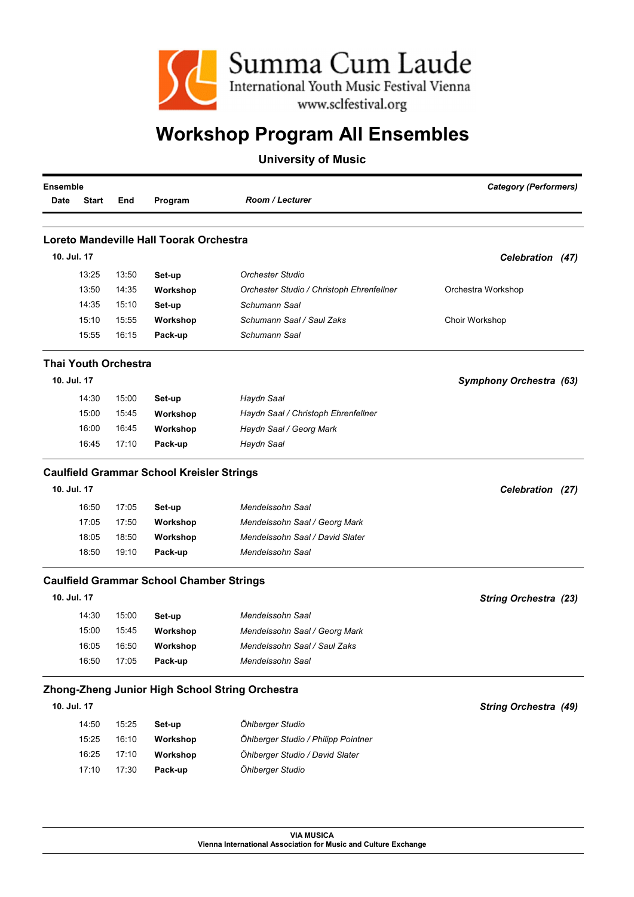

|             | <b>Ensemble</b> |                             |                                                  |                                                 | <b>Category (Performers)</b> |  |
|-------------|-----------------|-----------------------------|--------------------------------------------------|-------------------------------------------------|------------------------------|--|
| <b>Date</b> | <b>Start</b>    | End                         | Program                                          | <b>Room / Lecturer</b>                          |                              |  |
|             |                 |                             |                                                  |                                                 |                              |  |
| 10. Jul. 17 |                 |                             | Loreto Mandeville Hall Toorak Orchestra          |                                                 |                              |  |
|             |                 |                             |                                                  |                                                 | Celebration (47)             |  |
|             | 13:25           | 13:50                       | Set-up                                           | Orchester Studio                                |                              |  |
|             | 13:50           | 14:35                       | Workshop                                         | Orchester Studio / Christoph Ehrenfellner       | Orchestra Workshop           |  |
|             | 14:35           | 15:10                       | Set-up                                           | Schumann Saal                                   |                              |  |
|             | 15:10           | 15:55                       | Workshop                                         | Schumann Saal / Saul Zaks                       | Choir Workshop               |  |
|             | 15:55           | 16:15                       | Pack-up                                          | Schumann Saal                                   |                              |  |
|             |                 | <b>Thai Youth Orchestra</b> |                                                  |                                                 |                              |  |
| 10. Jul. 17 |                 |                             |                                                  |                                                 | Symphony Orchestra (63)      |  |
|             | 14:30           | 15:00                       | Set-up                                           | Haydn Saal                                      |                              |  |
|             | 15:00           | 15:45                       | Workshop                                         | Haydn Saal / Christoph Ehrenfellner             |                              |  |
|             | 16:00           | 16:45                       | Workshop                                         | Haydn Saal / Georg Mark                         |                              |  |
|             | 16:45           | 17:10                       | Pack-up                                          | Haydn Saal                                      |                              |  |
|             |                 |                             | <b>Caulfield Grammar School Kreisler Strings</b> |                                                 |                              |  |
| 10. Jul. 17 |                 |                             |                                                  |                                                 | Celebration (27)             |  |
|             | 16:50           | 17:05                       | Set-up                                           | Mendelssohn Saal                                |                              |  |
|             | 17:05           | 17:50                       | Workshop                                         | Mendelssohn Saal / Georg Mark                   |                              |  |
|             | 18:05           | 18:50                       | Workshop                                         | Mendelssohn Saal / David Slater                 |                              |  |
|             | 18:50           | 19:10                       | Pack-up                                          | Mendelssohn Saal                                |                              |  |
|             |                 |                             | <b>Caulfield Grammar School Chamber Strings</b>  |                                                 |                              |  |
| 10. Jul. 17 |                 |                             |                                                  |                                                 | <b>String Orchestra (23)</b> |  |
|             | 14:30           | 15:00                       | Set-up                                           | Mendelssohn Saal                                |                              |  |
|             | 15:00           | 15:45                       | Workshop                                         | Mendelssohn Saal / Georg Mark                   |                              |  |
|             | 16:05           | 16:50                       | Workshop                                         | Mendelssohn Saal / Saul Zaks                    |                              |  |
|             | 16:50           | 17:05                       | Pack-up                                          | Mendelssohn Saal                                |                              |  |
|             |                 |                             |                                                  | Zhong-Zheng Junior High School String Orchestra |                              |  |
| 10. Jul. 17 |                 |                             |                                                  |                                                 | <b>String Orchestra (49)</b> |  |
|             | 14:50           | 15:25                       | Set-up                                           | Öhlberger Studio                                |                              |  |
|             | 15:25           | 16:10                       | Workshop                                         | Öhlberger Studio / Philipp Pointner             |                              |  |
|             | 16:25           | 17:10                       | Workshop                                         | Öhlberger Studio / David Slater                 |                              |  |
|             | 17:10           | 17:30                       | Pack-up                                          | Öhlberger Studio                                |                              |  |